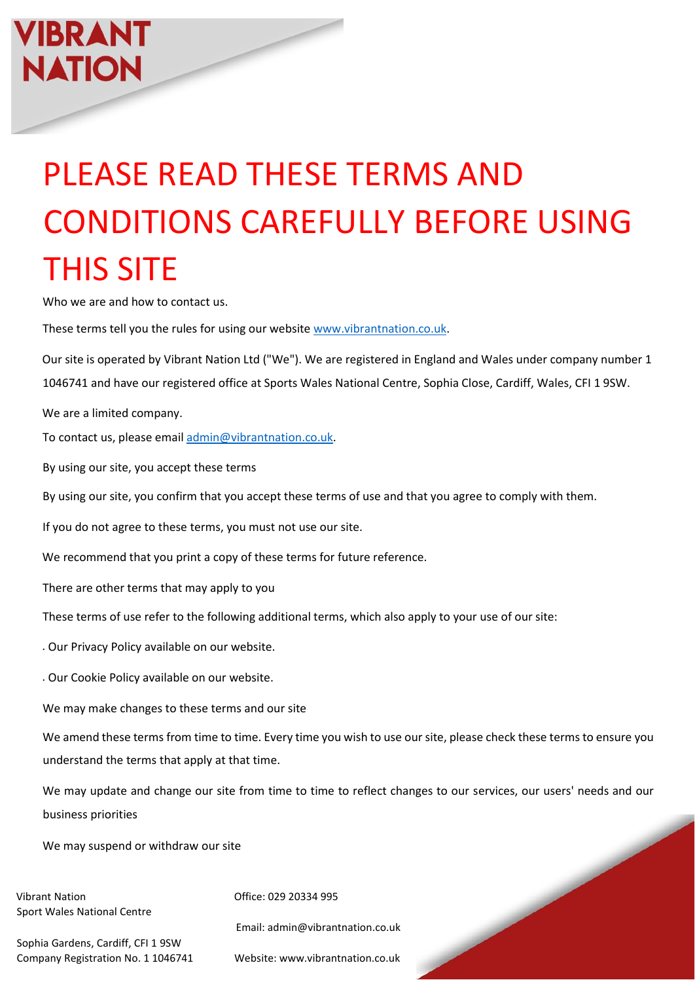## VIBRANT **NATION**

## PLEASE READ THESE TERMS AND CONDITIONS CAREFULLY BEFORE USING THIS SITE

Who we are and how to contact us.

These terms tell you the rules for using our websit[e www.vibrantnation.co.uk.](http://www.vibrantnation.co.uk/)

Our site is operated by Vibrant Nation Ltd ("We"). We are registered in England and Wales under company number 1 1046741 and have our registered office at Sports Wales National Centre, Sophia Close, Cardiff, Wales, CFI 1 9SW.

We are a limited company.

To contact us, please email [admin@vibrantnation.co.uk.](mailto:admin@vibrantnation.co.uk)

By using our site, you accept these terms

By using our site, you confirm that you accept these terms of use and that you agree to comply with them.

If you do not agree to these terms, you must not use our site.

We recommend that you print a copy of these terms for future reference.

There are other terms that may apply to you

These terms of use refer to the following additional terms, which also apply to your use of our site:

• Our Privacy Policy available on our website.

• Our Cookie Policy available on our website.

We may make changes to these terms and our site

We amend these terms from time to time. Every time you wish to use our site, please check these terms to ensure you understand the terms that apply at that time.

We may update and change our site from time to time to reflect changes to our services, our users' needs and our business priorities

We may suspend or withdraw our site

Vibrant Nation **Office: 029 20334 995** Sport Wales National Centre

Sophia Gardens, Cardiff, CFI 1 9SW Company Registration No. 1 1046741 Website: www.vibrantnation.co.uk

Email: admin@vibrantnation.co.uk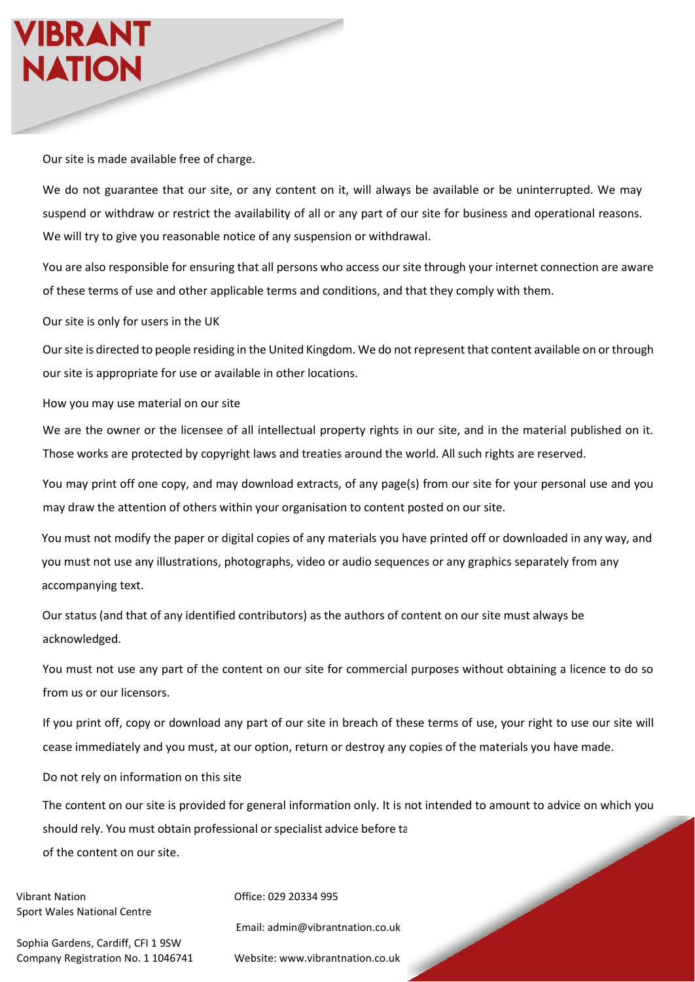Our site is made available free of charge.

We do not guarantee that our site, or any content on it, will always be available or be uninterrupted. We may suspend or withdraw or restrict the availability of all or any part of our site for business and operational reasons. We will try to give you reasonable notice of any suspension or withdrawal.

You are also responsible for ensuring that all persons who access our site through your internet connection are aware of these terms of use and other applicable terms and conditions, and that they comply with them.

Our site is only for users in the UK

Our site is directed to people residing in the United Kingdom. We do not represent that content available on or through our site is appropriate for use or available in other locations.

How you may use material on our site

We are the owner or the licensee of all intellectual property rights in our site, and in the material published on it. Those works are protected by copyright laws and treaties around the world. All such rights are reserved.

You may print off one copy, and may download extracts, of any page(s) from our site for your personal use and you may draw the attention of others within your organisation to content posted on our site.

You must not modify the paper or digital copies of any materials you have printed off or downloaded in any way, and you must not use any illustrations, photographs, video or audio sequences or any graphics separately from any accompanying text.

Our status (and that of any identified contributors) as the authors of content on our site must always be acknowledged.

You must not use any part of the content on our site for commercial purposes without obtaining a licence to do so from us or our licensors.

If you print off, copy or download any part of our site in breach of these terms of use, your right to use our site will cease immediately and you must, at our option, return or destroy any copies of the materials you have made.

Do not rely on information on this site

The content on our site is provided for general information only. It is not intended to amount to advice on which you should rely. You must obtain professional or specialist advice before ta of the content on our site.

Vibrant Nation **Office: 029 20334 995** Sport Wales National Centre

Sophia Gardens, Cardiff, CFI 1 9SW Company Registration No. 1 1046741 Website: www.vibrantnation.co.uk

Email: admin@vibrantnation.co.uk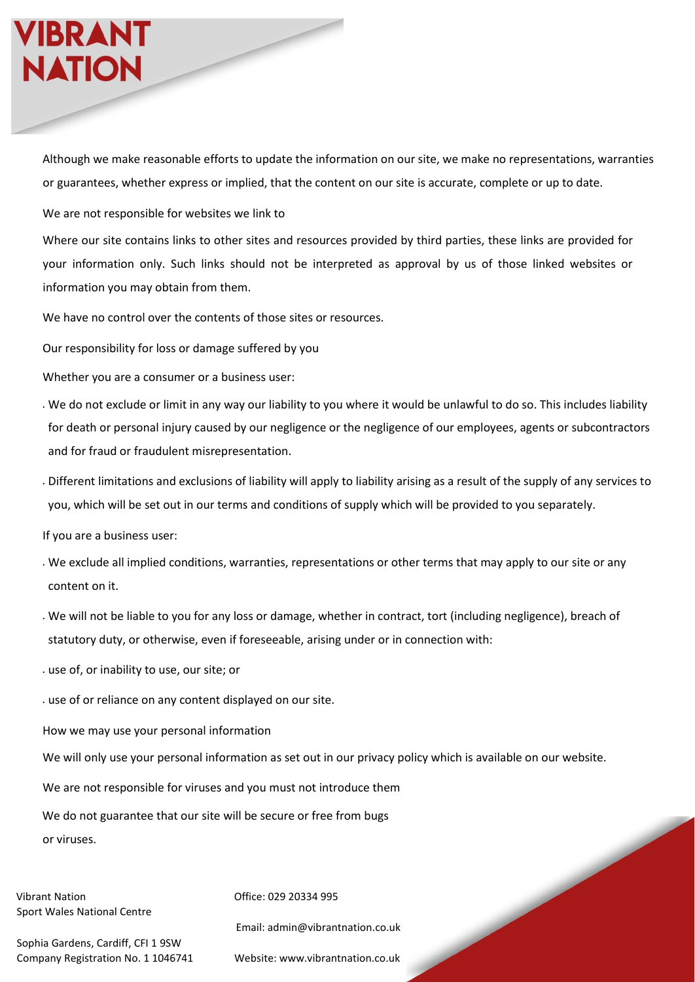## VIBRANT **NATION**

Although we make reasonable efforts to update the information on our site, we make no representations, warranties or guarantees, whether express or implied, that the content on our site is accurate, complete or up to date.

We are not responsible for websites we link to

Where our site contains links to other sites and resources provided by third parties, these links are provided for your information only. Such links should not be interpreted as approval by us of those linked websites or information you may obtain from them.

We have no control over the contents of those sites or resources.

Our responsibility for loss or damage suffered by you

Whether you are a consumer or a business user:

- We do not exclude or limit in any way our liability to you where it would be unlawful to do so. This includes liability for death or personal injury caused by our negligence or the negligence of our employees, agents or subcontractors and for fraud or fraudulent misrepresentation.
- Different limitations and exclusions of liability will apply to liability arising as a result of the supply of any services to you, which will be set out in our terms and conditions of supply which will be provided to you separately.

If you are a business user:

- We exclude all implied conditions, warranties, representations or other terms that may apply to our site or any content on it.
- We will not be liable to you for any loss or damage, whether in contract, tort (including negligence), breach of statutory duty, or otherwise, even if foreseeable, arising under or in connection with:
- use of, or inability to use, our site; or

• use of or reliance on any content displayed on our site.

How we may use your personal information

We will only use your personal information as set out in our privacy policy which is available on our website.

We are not responsible for viruses and you must not introduce them

We do not guarantee that our site will be secure or free from bugs

or viruses.

Vibrant Nation **Office: 029 20334 995** Sport Wales National Centre

Email: admin@vibrantnation.co.uk

Sophia Gardens, Cardiff, CFI 1 9SW Company Registration No. 1 1046741 Website: www.vibrantnation.co.uk